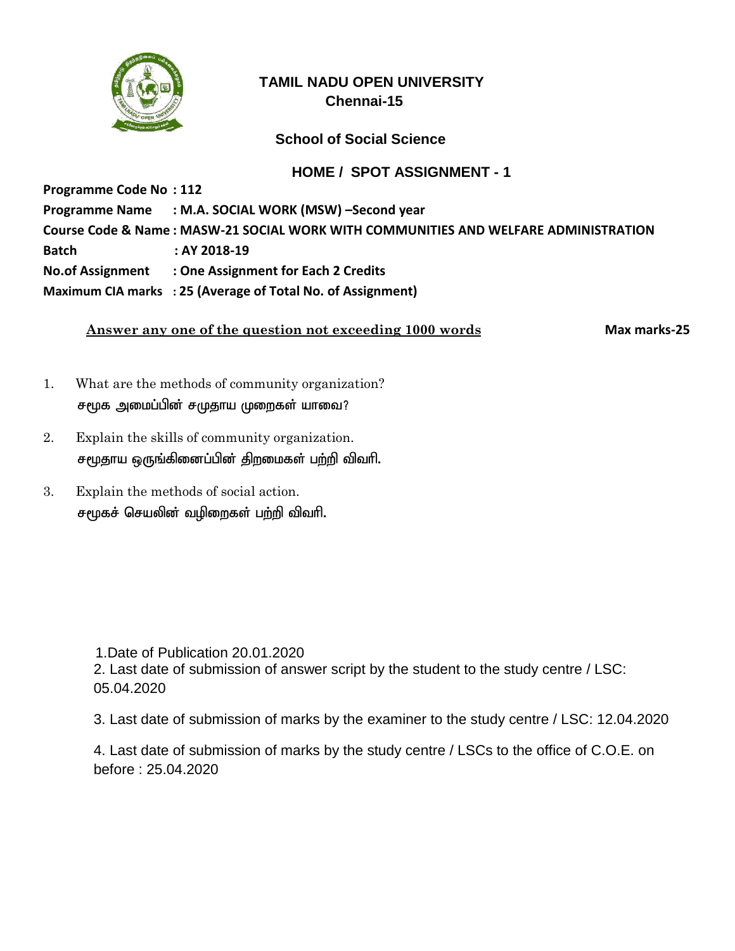

# **School of Social Science**

## **HOME / SPOT ASSIGNMENT - 1**

**Programme Code No : 112 Programme Name : M.A. SOCIAL WORK (MSW) –Second year Course Code & Name : MASW-21 SOCIAL WORK WITH COMMUNITIES AND WELFARE ADMINISTRATION Batch : AY 2018-19 No.of Assignment : One Assignment for Each 2 Credits Maximum CIA marks : 25 (Average of Total No. of Assignment)**

Answer any one of the question not exceeding 1000 words Max marks-25

- 1. What are the methods of community organization? சமூக அமைப்பின் சமுதாய முறைகள் யாவை?
- 2. Explain the skills of community organization. சமூதாய ஒருங்கினைப்பின் திறமைகள் பற்றி விவரி.
- 3. Explain the methods of social action. ச $f$ முகச் செயலின் வமிறைகள் பற்றி விவரி.

1.Date of Publication 20.01.2020

2. Last date of submission of answer script by the student to the study centre / LSC: 05.04.2020

3. Last date of submission of marks by the examiner to the study centre / LSC: 12.04.2020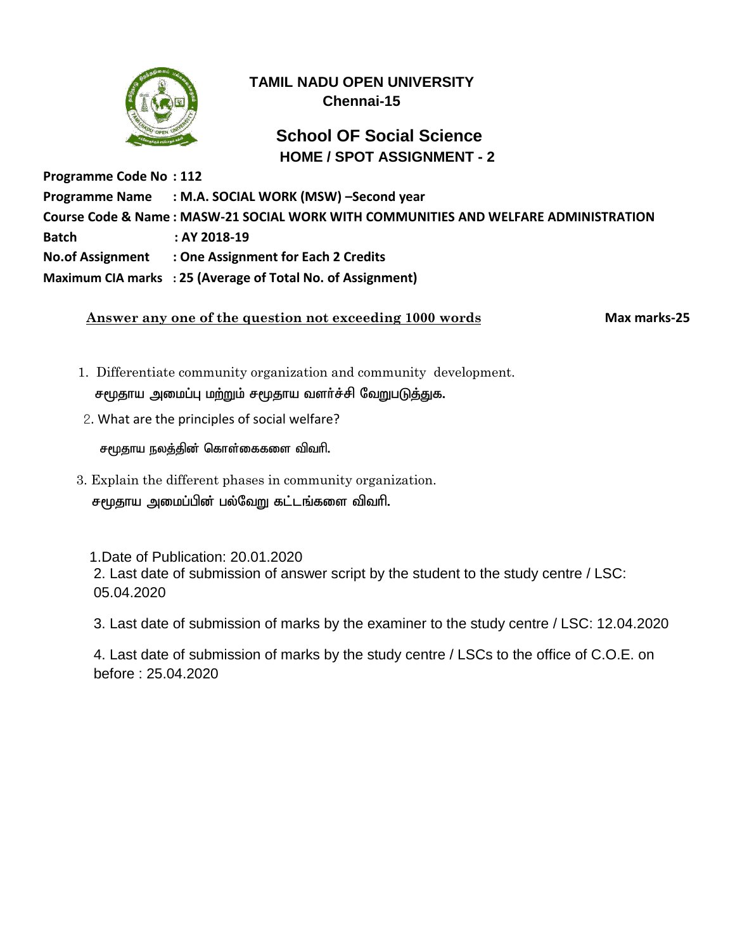

# **School OF Social Science HOME / SPOT ASSIGNMENT - 2**

**Programme Code No : 112 Programme Name : M.A. SOCIAL WORK (MSW) –Second year Course Code & Name : MASW-21 SOCIAL WORK WITH COMMUNITIES AND WELFARE ADMINISTRATION Batch : AY 2018-19 No.of Assignment : One Assignment for Each 2 Credits Maximum CIA marks : 25 (Average of Total No. of Assignment)**

Answer any one of the question not exceeding 1000 words **Max marks-25** 

1. Differentiate community organization and community development. சமூதாய அமைப்பு மற்றும் சமூதாய வளர்ச்சி வேறுபடுத்துக.

2. What are the principles of social welfare?

சமூதாய நலத்தின் கொள்கைகளை விவரி.

 3. Explain the different phases in community organization. சமூதாய அமைப்பின் பல்வேறு கட்டங்களை விவரி.

 1.Date of Publication: 20.01.2020 2. Last date of submission of answer script by the student to the study centre / LSC: 05.04.2020

3. Last date of submission of marks by the examiner to the study centre / LSC: 12.04.2020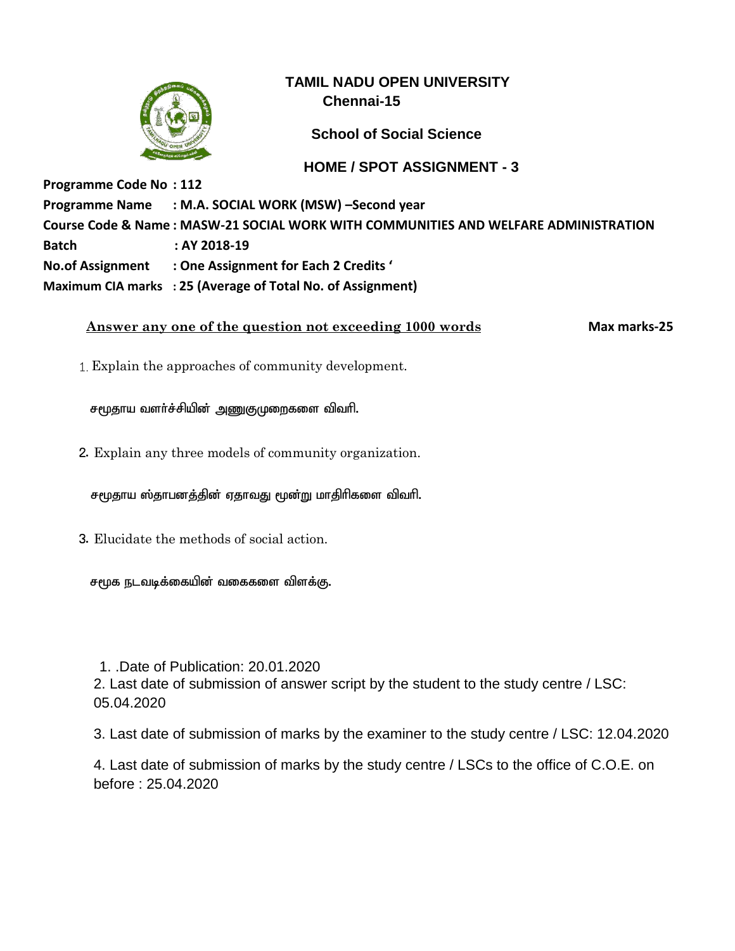|                                                                                     | <b>TAMIL NADU OPEN UNIVERSITY</b>                           |
|-------------------------------------------------------------------------------------|-------------------------------------------------------------|
|                                                                                     | Chennai-15                                                  |
| <b>School of Social Science</b>                                                     |                                                             |
|                                                                                     | <b>HOME / SPOT ASSIGNMENT - 3</b>                           |
| <b>Programme Code No: 112</b>                                                       |                                                             |
|                                                                                     | Programme Name : M.A. SOCIAL WORK (MSW) -Second year        |
| Course Code & Name: MASW-21 SOCIAL WORK WITH COMMUNITIES AND WELFARE ADMINISTRATION |                                                             |
| <b>Batch</b>                                                                        | $:$ AY 2018-19                                              |
|                                                                                     | No.of Assignment : One Assignment for Each 2 Credits '      |
|                                                                                     | Maximum CIA marks : 25 (Average of Total No. of Assignment) |

**Answer any one of the question not exceeding 1000 words Max marks-25**

Explain the approaches of community development.

சமூதாய வளர்ச்சியின் அணுகுமுறைகளை விவரி.

2. Explain any three models of community organization.

சமூதாய ஸ்தாபனத்தின் ஏதாவது மூன்று மாதிரிகளை விவரி.

3. Elucidate the methods of social action.

சமூக நடவடிக்கையின் வகைகளை விளக்கு.

1. .Date of Publication: 20.01.2020

2. Last date of submission of answer script by the student to the study centre / LSC: 05.04.2020

3. Last date of submission of marks by the examiner to the study centre / LSC: 12.04.2020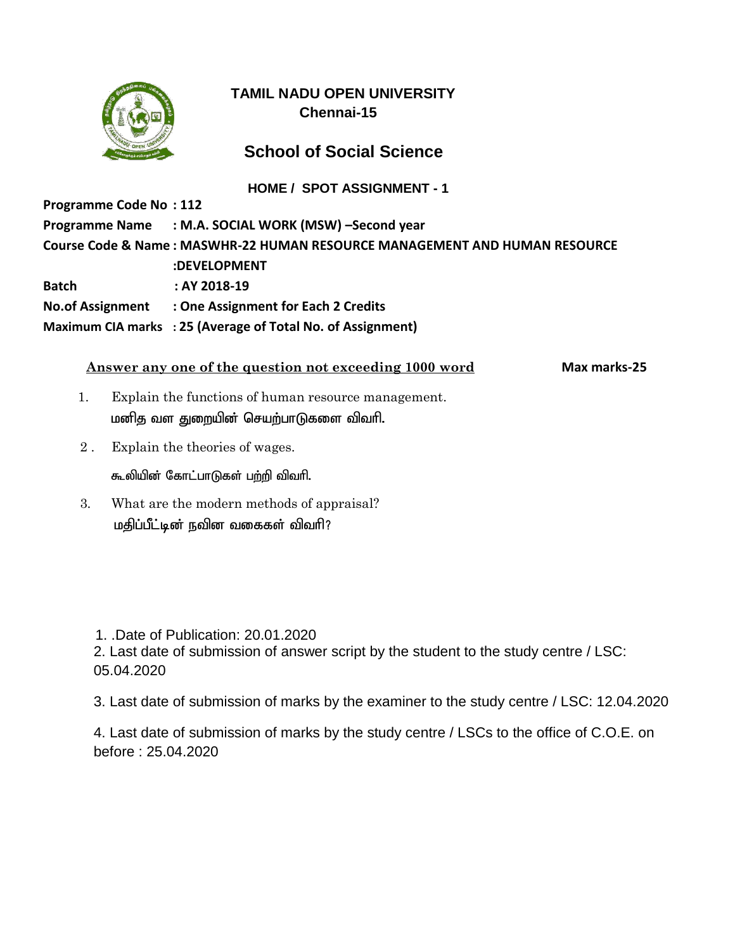

# **School of Social Science**

 **HOME / SPOT ASSIGNMENT - 1**

**Programme Code No : 112 Programme Name : M.A. SOCIAL WORK (MSW) –Second year Course Code & Name : MASWHR-22 HUMAN RESOURCE MANAGEMENT AND HUMAN RESOURCE :DEVELOPMENT Batch : AY 2018-19 No.of Assignment : One Assignment for Each 2 Credits Maximum CIA marks : 25 (Average of Total No. of Assignment)**

#### **Answer any one of the question not exceeding 1000 word Max marks-25**

- 1. Explain the functions of human resource management. மனித வள துறையின் செயற்பாடுகளை விவரி.
- 2 . Explain the theories of wages.

கூலியின் கோட்பாடுகள் பற்றி விவரி.

 3. What are the modern methods of appraisal? மதிப்பீட்டின் நவின வகைகள் விவரி?

1. .Date of Publication: 20.01.2020

2. Last date of submission of answer script by the student to the study centre / LSC: 05.04.2020

3. Last date of submission of marks by the examiner to the study centre / LSC: 12.04.2020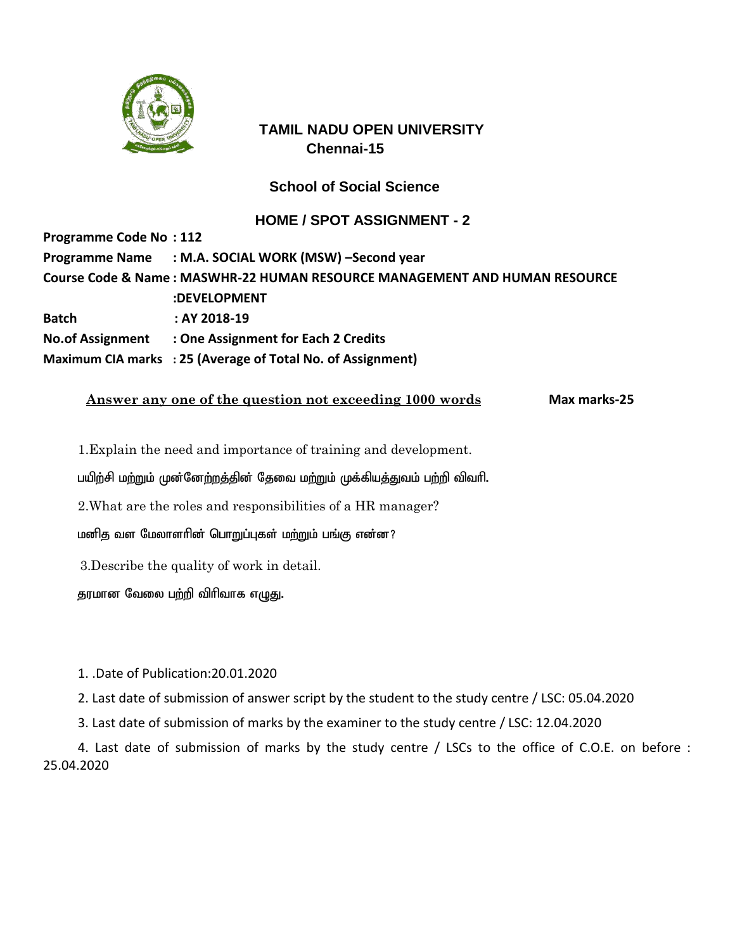

## **School of Social Science**

### **HOME / SPOT ASSIGNMENT - 2**

**Programme Code No : 112 Programme Name : M.A. SOCIAL WORK (MSW) –Second year Course Code & Name : MASWHR-22 HUMAN RESOURCE MANAGEMENT AND HUMAN RESOURCE :DEVELOPMENT Batch : AY 2018-19 No.of Assignment : One Assignment for Each 2 Credits Maximum CIA marks : 25 (Average of Total No. of Assignment)**

#### **Answer any one of the question not exceeding 1000 words Max marks-25**

1.Explain the need and importance of training and development.

பயிற்சி மற்றும் முன்னேற்றத்தின் தேவை மற்றும் முக்கியத்துவம் பற்றி விவரி.

2.What are the roles and responsibilities of a HR manager?

மனித வள மேலாளரின் பொறுப்புகள் மற்றும் பங்கு என்ன?

3.Describe the quality of work in detail.

தரமான வேலை பற்றி விரிவாக எழுது.

1. .Date of Publication:20.01.2020

2. Last date of submission of answer script by the student to the study centre / LSC: 05.04.2020

3. Last date of submission of marks by the examiner to the study centre / LSC: 12.04.2020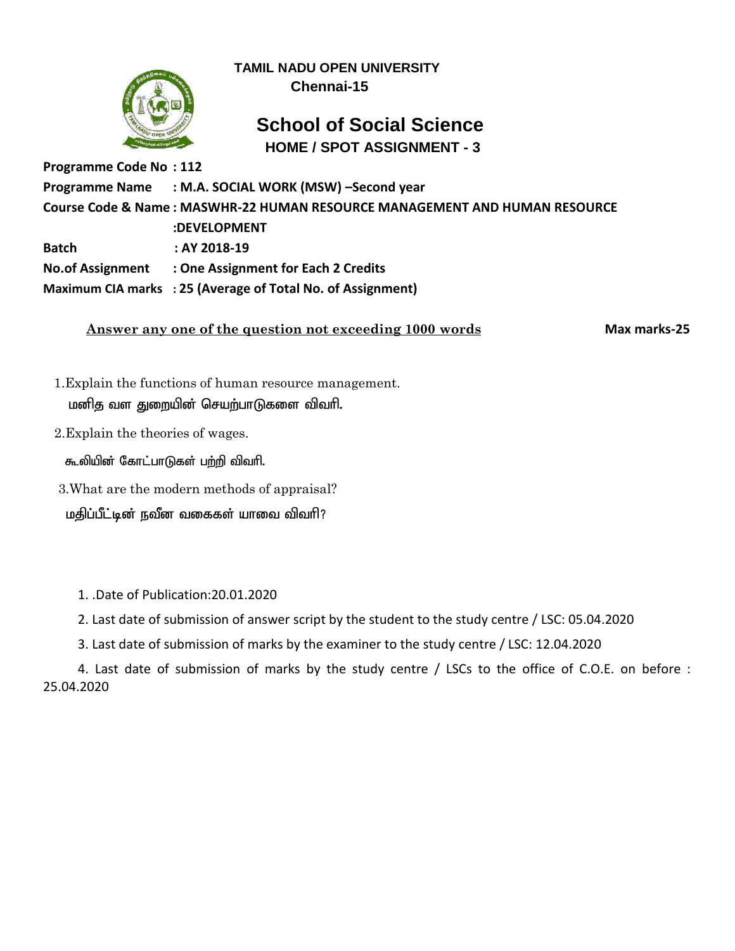

# **School of Social Science HOME / SPOT ASSIGNMENT - 3**

**Programme Code No : 112 Programme Name : M.A. SOCIAL WORK (MSW) –Second year Course Code & Name : MASWHR-22 HUMAN RESOURCE MANAGEMENT AND HUMAN RESOURCE :DEVELOPMENT Batch : AY 2018-19 No.of Assignment : One Assignment for Each 2 Credits Maximum CIA marks : 25 (Average of Total No. of Assignment)**

**Answer any one of the question not exceeding 1000 words Max marks-25**

- 1.Explain the functions of human resource management. மனித வள துறையின் செயற்பாடுகளை விவரி.
- 2.Explain the theories of wages.

கூலியின் கோட்பாடுகள் பற்றி விவரி.

3.What are the modern methods of appraisal?

மதிப்பீட்டின் நவீன வகைகள் யாவை விவரி?

- 1. .Date of Publication:20.01.2020
- 2. Last date of submission of answer script by the student to the study centre / LSC: 05.04.2020
- 3. Last date of submission of marks by the examiner to the study centre / LSC: 12.04.2020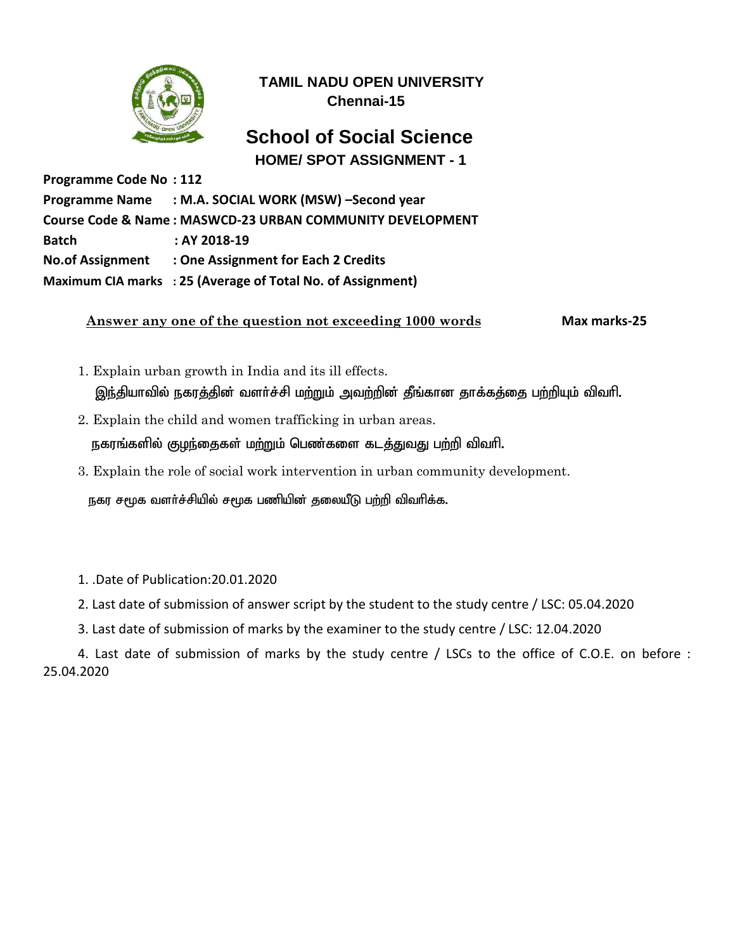

# **School of Social Science HOME/ SPOT ASSIGNMENT - 1**

**Programme Code No : 112 Programme Name : M.A. SOCIAL WORK (MSW) –Second year Course Code & Name : MASWCD-23 URBAN COMMUNITY DEVELOPMENT Batch : AY 2018-19 No.of Assignment : One Assignment for Each 2 Credits Maximum CIA marks : 25 (Average of Total No. of Assignment)**

#### Answer any one of the question not exceeding 1000 words Max marks-25

- 1. Explain urban growth in India and its ill effects. இந்தியாவில் நகரத்தின் வளர்ச்சி மற்றும் அவற்றின் தீங்கான தாக்கத்தை பற்றியும் விவரி.
- 2. Explain the child and women trafficking in urban areas. நகரங்களில் குழந்தைகள் மற்றும் பெண்களை கடக்துவது பற்றி விவரி.
- 3. Explain the role of social work intervention in urban community development.

நகர சமூக வளர்ச்சியில் சமூக பணியின் தலையீடு பற்றி விவரிக்க.

- 1. .Date of Publication:20.01.2020
- 2. Last date of submission of answer script by the student to the study centre / LSC: 05.04.2020
- 3. Last date of submission of marks by the examiner to the study centre / LSC: 12.04.2020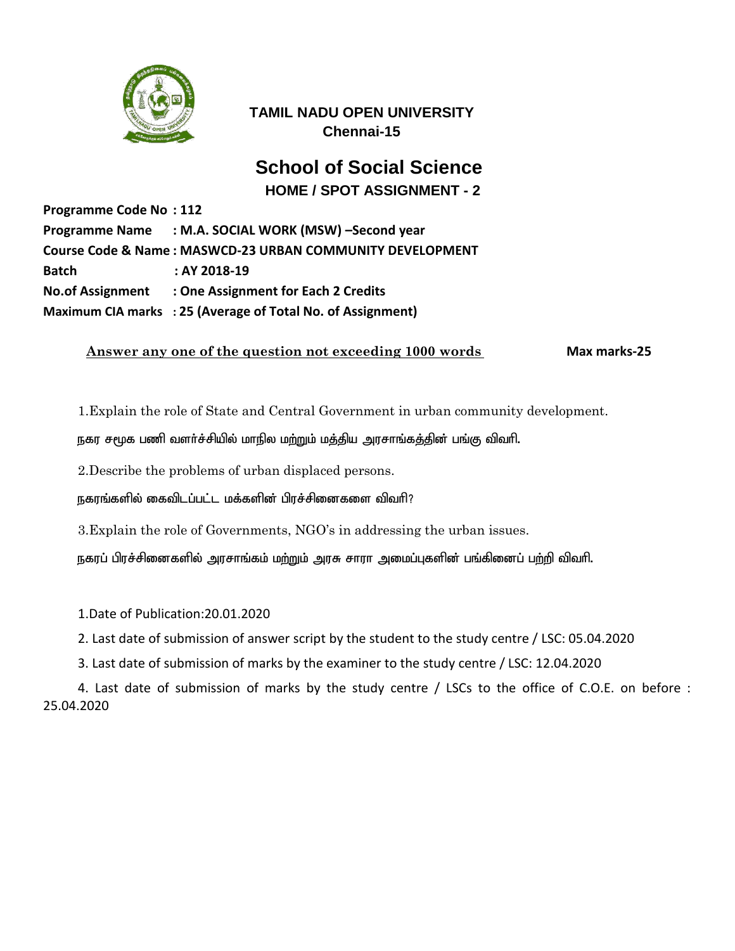

# **School of Social Science HOME / SPOT ASSIGNMENT - 2**

**Programme Code No : 112 Programme Name : M.A. SOCIAL WORK (MSW) –Second year Course Code & Name : MASWCD-23 URBAN COMMUNITY DEVELOPMENT Batch : AY 2018-19 No.of Assignment : One Assignment for Each 2 Credits Maximum CIA marks : 25 (Average of Total No. of Assignment)**

#### **Answer any one of the question not exceeding 1000 words Max marks-25**

1.Explain the role of State and Central Government in urban community development.

நகர சமூக பணி வளர்ச்சியில் மாநில மற்றும் மத்திய அரசாங்கத்தின் பங்கு விவரி.

2.Describe the problems of urban displaced persons.

நகரங்களில் கைவிடப்பட்ட மக்களின் பிரச்சினைகளை விவரி?

3.Explain the role of Governments, NGO's in addressing the urban issues.

நகரப் பிரச்சினைகளில் அரசாங்கம் மற்றும் அரசு சாரா அமைப்புகளின் பங்கினைப் பற்றி விவரி.

1.Date of Publication:20.01.2020

2. Last date of submission of answer script by the student to the study centre / LSC: 05.04.2020

3. Last date of submission of marks by the examiner to the study centre / LSC: 12.04.2020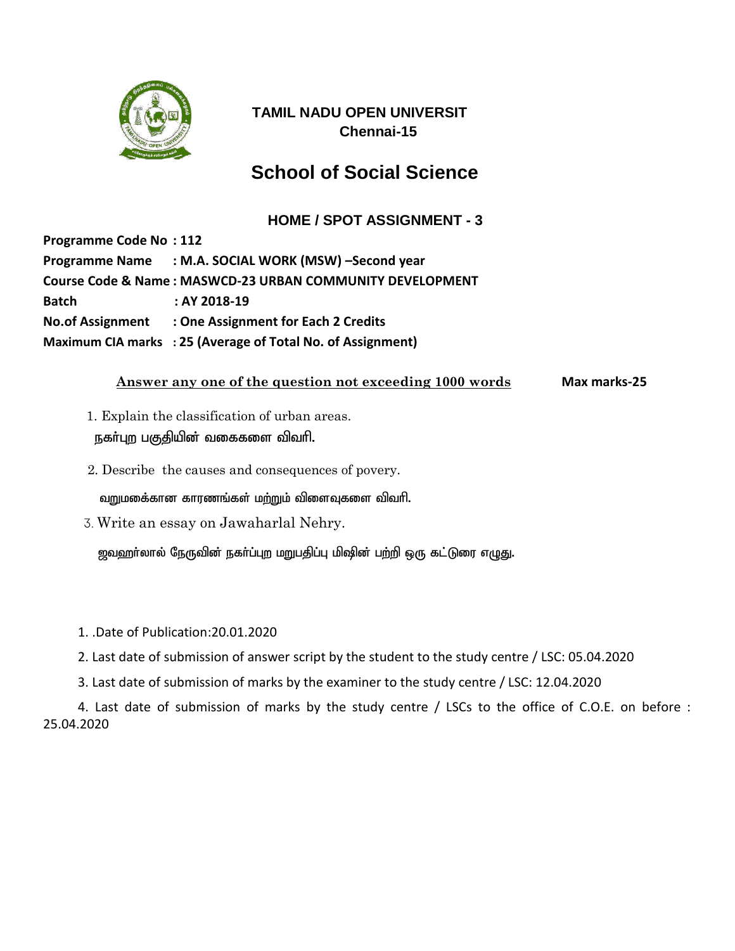

# **School of Social Science**

# **HOME / SPOT ASSIGNMENT - 3**

**Programme Code No : 112 Programme Name : M.A. SOCIAL WORK (MSW) –Second year Course Code & Name : MASWCD-23 URBAN COMMUNITY DEVELOPMENT Batch : AY 2018-19 No.of Assignment : One Assignment for Each 2 Credits Maximum CIA marks : 25 (Average of Total No. of Assignment)**

#### **Answer any one of the question not exceeding 1000 words Max marks-25**

- 1. Explain the classification of urban areas. நகா்புற பகுதியின் வகைகளை விவாி.
- 2. Describe the causes and consequences of povery.

வறுமகை்கான காரணங்கள் மற்றும் விளைவுகளை விவரி.

3. Write an essay on Jawaharlal Nehry.

<u>ஜவஹ</u>ர்லால் நேருவின் நகர்ப்புற மறுபதிப்பு மிஷின் பற்றி ஒரு கட்டுரை எழுது.

1. .Date of Publication:20.01.2020

- 2. Last date of submission of answer script by the student to the study centre / LSC: 05.04.2020
- 3. Last date of submission of marks by the examiner to the study centre / LSC: 12.04.2020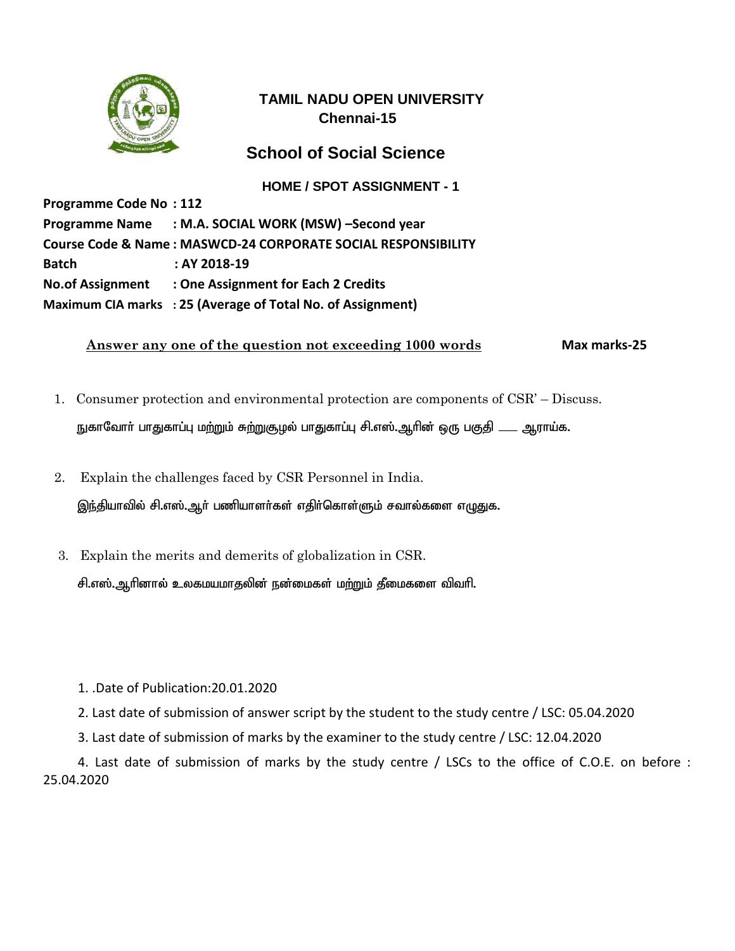

# **School of Social Science**

 **HOME / SPOT ASSIGNMENT - 1**

**Programme Code No : 112 Programme Name : M.A. SOCIAL WORK (MSW) –Second year Course Code & Name : MASWCD-24 CORPORATE SOCIAL RESPONSIBILITY Batch : AY 2018-19 No.of Assignment : One Assignment for Each 2 Credits Maximum CIA marks : 25 (Average of Total No. of Assignment)**

#### **Answer any one of the question not exceeding 1000 words Max marks-25**

- 1. Consumer protection and environmental protection are components of CSR' Discuss. நுகாவோர் பாதுகாப்பு மற்றும் சுற்றுசூழல் பாதுகாப்பு சி.எஸ்.ஆரின் ஒரு பகுதி <sub>——</sub> ஆராய்க.
- 2. Explain the challenges faced by CSR Personnel in India. இந்தியாவில் சி.எஸ்.ஆர் பணியாளர்கள் எதிர்கொள்ளும் சவால்களை எழுதுக.
- 3. Explain the merits and demerits of globalization in CSR.

சி.எஸ்.ஆரினால் உலகமயமாதலின் நன்மைகள் மற்றும் தீமைகளை விவரி.

1. .Date of Publication:20.01.2020

- 2. Last date of submission of answer script by the student to the study centre / LSC: 05.04.2020
- 3. Last date of submission of marks by the examiner to the study centre / LSC: 12.04.2020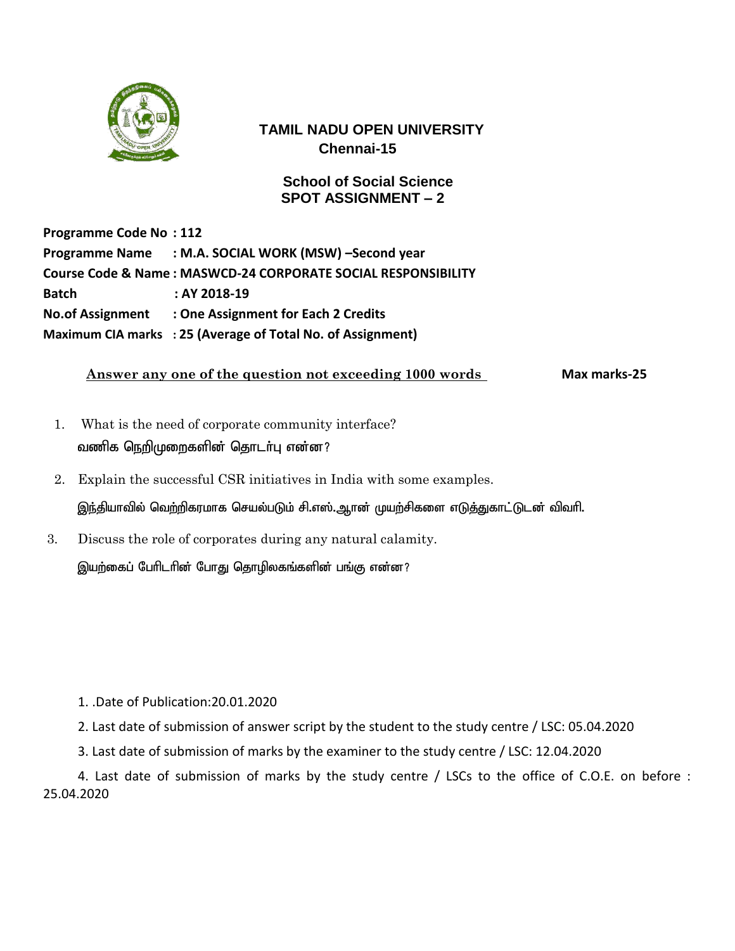

### **School of Social Science SPOT ASSIGNMENT – 2**

**Programme Code No : 112 Programme Name : M.A. SOCIAL WORK (MSW) –Second year Course Code & Name : MASWCD-24 CORPORATE SOCIAL RESPONSIBILITY Batch : AY 2018-19 No.of Assignment : One Assignment for Each 2 Credits Maximum CIA marks : 25 (Average of Total No. of Assignment)**

### Answer any one of the question not exceeding 1000 words Max marks-25

- 1. What is the need of corporate community interface? வணிக நெறிமுறைகளின் தொடர்பு என்ன?
- 2. Explain the successful CSR initiatives in India with some examples. இந்தியாவில் வெற்றிகரமாக செயல்படும் சி.எஸ்.ஆான் முயற்சிகளை எடுத்துகாட்டுடன் விவரி.
- 3. Discuss the role of corporates during any natural calamity.

இயற்கைப் பேரிடரின் போது தொழிலகங்களின் பங்கு என்ன?

1. .Date of Publication:20.01.2020

- 2. Last date of submission of answer script by the student to the study centre / LSC: 05.04.2020
- 3. Last date of submission of marks by the examiner to the study centre / LSC: 12.04.2020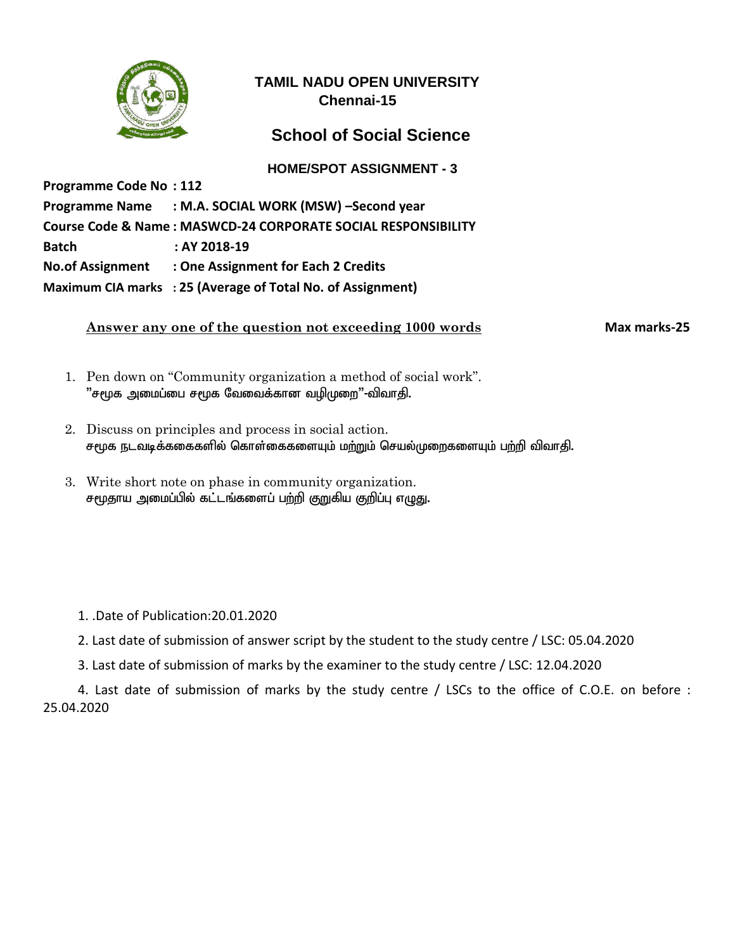

# **School of Social Science**

 **HOME/SPOT ASSIGNMENT - 3**

**Programme Code No : 112 Programme Name : M.A. SOCIAL WORK (MSW) –Second year Course Code & Name : MASWCD-24 CORPORATE SOCIAL RESPONSIBILITY Batch : AY 2018-19 No.of Assignment : One Assignment for Each 2 Credits Maximum CIA marks : 25 (Average of Total No. of Assignment)**

#### Answer any one of the question not exceeding 1000 words **Max marks-25**

- 1. Pen down on "Community organization a method of social work".  $"$ சமூக அமைப்பை சமூக வேவைக்கான வழிமுறை"-விவாதி.
- 2. Discuss on principles and process in social action. சமூக நடவடிக்ககைகளில் கொள்கைகளையும் மற்றும் செயல்முறைகளையும் பற்றி விவாதி.
- 3. Write short note on phase in community organization. சமூதாய அமைப்பில் கட்டங்களைப் பற்றி குறுகிய குறிப்பு எழுது.

- 1. .Date of Publication:20.01.2020
- 2. Last date of submission of answer script by the student to the study centre / LSC: 05.04.2020
- 3. Last date of submission of marks by the examiner to the study centre / LSC: 12.04.2020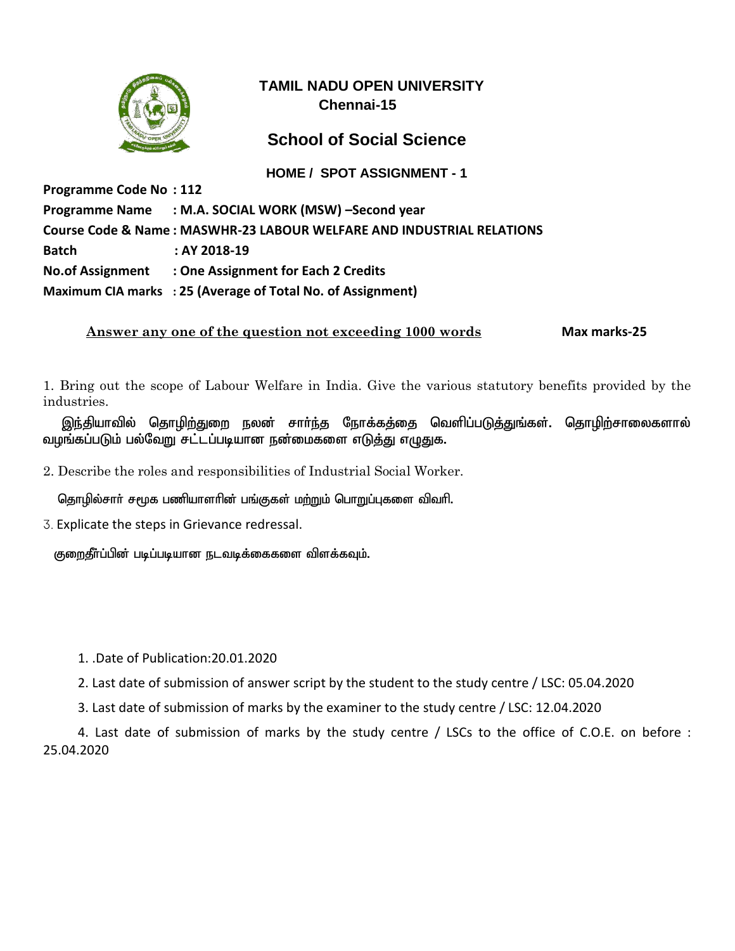

# **School of Social Science**

 **HOME / SPOT ASSIGNMENT - 1**

**Programme Code No : 112 Programme Name : M.A. SOCIAL WORK (MSW) –Second year Course Code & Name : MASWHR-23 LABOUR WELFARE AND INDUSTRIAL RELATIONS Batch : AY 2018-19 No.of Assignment : One Assignment for Each 2 Credits Maximum CIA marks : 25 (Average of Total No. of Assignment)**

#### **Answer any one of the question not exceeding 1000 words Max marks-25**

1. Bring out the scope of Labour Welfare in India. Give the various statutory benefits provided by the industries.

இந்தியாவில் தொழிற்துறை நலன் சார்ந்த நோக்கத்தை வெளிப்படுத்துங்கள். தொழிற்சாலைகளால் வழங்கப்படும் பல்வேறு சட்டப்படியான நன்மைகளை எடுத்து எழுதுக.

2. Describe the roles and responsibilities of Industrial Social Worker.

தொழில்சார் சமூக பணியாளரின் பங்குகள் மற்றும் பொறுப்புகளை விவரி.

3. Explicate the steps in Grievance redressal.

குறைதீா்ப்பின் படிப்படியான நடவடிக்கைகளை விளக்கவும்.

1. .Date of Publication:20.01.2020

2. Last date of submission of answer script by the student to the study centre / LSC: 05.04.2020

3. Last date of submission of marks by the examiner to the study centre / LSC: 12.04.2020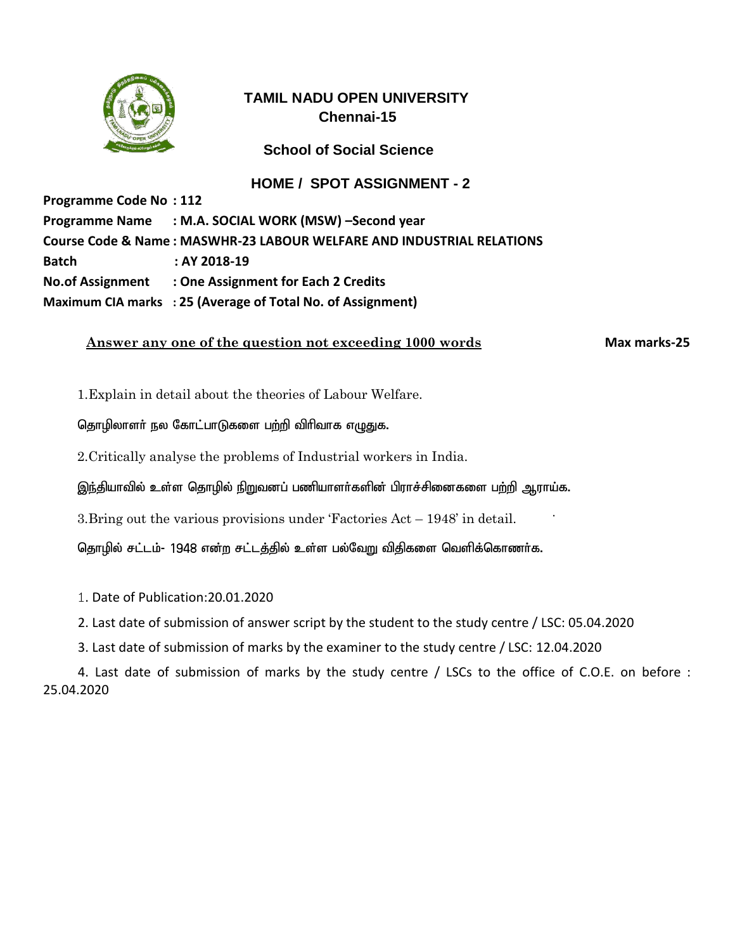

### **School of Social Science**

### **HOME / SPOT ASSIGNMENT - 2**

**Programme Code No : 112 Programme Name : M.A. SOCIAL WORK (MSW) –Second year Course Code & Name : MASWHR-23 LABOUR WELFARE AND INDUSTRIAL RELATIONS Batch : AY 2018-19 No.of Assignment : One Assignment for Each 2 Credits Maximum CIA marks : 25 (Average of Total No. of Assignment)**

#### Answer any one of the question not exceeding 1000 words Max marks-25

1.Explain in detail about the theories of Labour Welfare.

தொழிலாளர் நல கோட்பாடுகளை பற்றி விரிவாக எழுதுக.

2.Critically analyse the problems of Industrial workers in India.

இந்தியாவில் உள்ள தொழில் நிறுவனப் பணியாளர்களின் பிராச்சினைகளை பற்றி ஆராய்க.

3.Bring out the various provisions under 'Factories Act – 1948' in detail.

தொழில் சட்டம்- 1948 என்ற சட்டத்தில் உள்ள பல்வேறு விதிகளை வெளிக்கொணர்க.

1. Date of Publication:20.01.2020

2. Last date of submission of answer script by the student to the study centre / LSC: 05.04.2020

3. Last date of submission of marks by the examiner to the study centre / LSC: 12.04.2020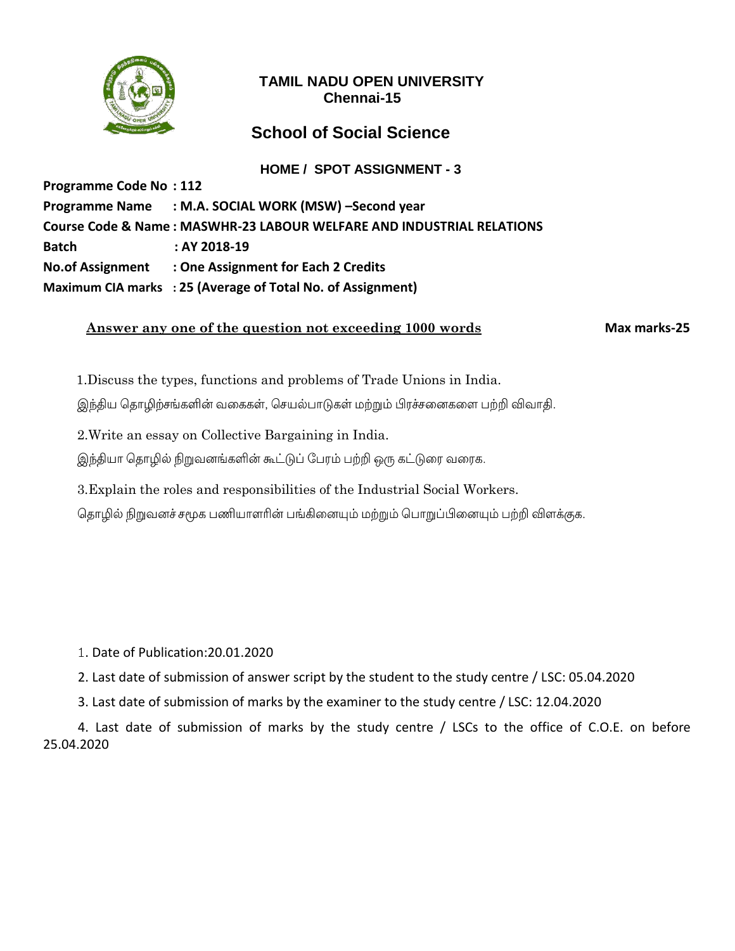

# **School of Social Science**

 **HOME / SPOT ASSIGNMENT - 3**

**Programme Code No : 112 Programme Name : M.A. SOCIAL WORK (MSW) –Second year Course Code & Name : MASWHR-23 LABOUR WELFARE AND INDUSTRIAL RELATIONS Batch : AY 2018-19 No.of Assignment : One Assignment for Each 2 Credits Maximum CIA marks : 25 (Average of Total No. of Assignment)**

#### Answer any one of the question not exceeding 1000 words **Max marks-25**

 1.Discuss the types, functions and problems of Trade Unions in India. இந்திய தொழிற்சங்களின் வகைகள், செயல்பாடுகள் மற்றும் பிரச்சனைகளை பற்றி விவாகி.

2.Write an essay on Collective Bargaining in India.

இந்தியா தொழில் நிறுவனங்களின் கூட்டுப் பேரம் பற்றி ஒரு கட்டுரை வரைக.

3.Explain the roles and responsibilities of the Industrial Social Workers.

தொழில் நிறுவனச் சமூக பணியாளரின் பங்கினையும் மற்றும் பொறுப்பினையும் பற்றி விளக்குக.

1. Date of Publication:20.01.2020

- 2. Last date of submission of answer script by the student to the study centre / LSC: 05.04.2020
- 3. Last date of submission of marks by the examiner to the study centre / LSC: 12.04.2020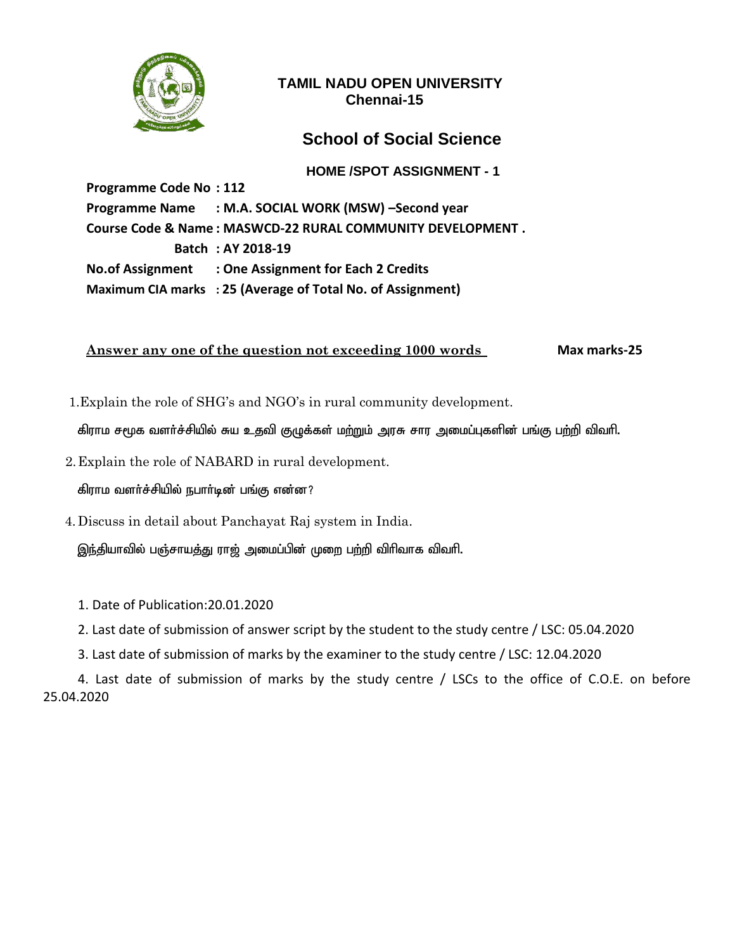

# **School of Social Science**

### **HOME /SPOT ASSIGNMENT - 1**

**Programme Code No : 112 Programme Name : M.A. SOCIAL WORK (MSW) –Second year Course Code & Name : MASWCD-22 RURAL COMMUNITY DEVELOPMENT . Batch : AY 2018-19 No.of Assignment : One Assignment for Each 2 Credits Maximum CIA marks : 25 (Average of Total No. of Assignment)**

#### Answer any one of the question not exceeding 1000 words Max marks-25

1.Explain the role of SHG's and NGO's in rural community development.

கிராம சமூக வளர்ச்சியில் சுய உதவி குழுக்கள் மற்றும் அரசு சார அமைப்புகளின் பங்கு பற்றி விவரி.

2.Explain the role of NABARD in rural development.

கிராம வளர்ச்சியில் நபார்டின் பங்கு என்ன?

4. Discuss in detail about Panchayat Raj system in India.

இந்தியாவில் பஞ்சாயத்து ராஜ் அமைப்பின் முறை பற்றி விரிவாக விவரி.

- 1. Date of Publication:20.01.2020
- 2. Last date of submission of answer script by the student to the study centre / LSC: 05.04.2020
- 3. Last date of submission of marks by the examiner to the study centre / LSC: 12.04.2020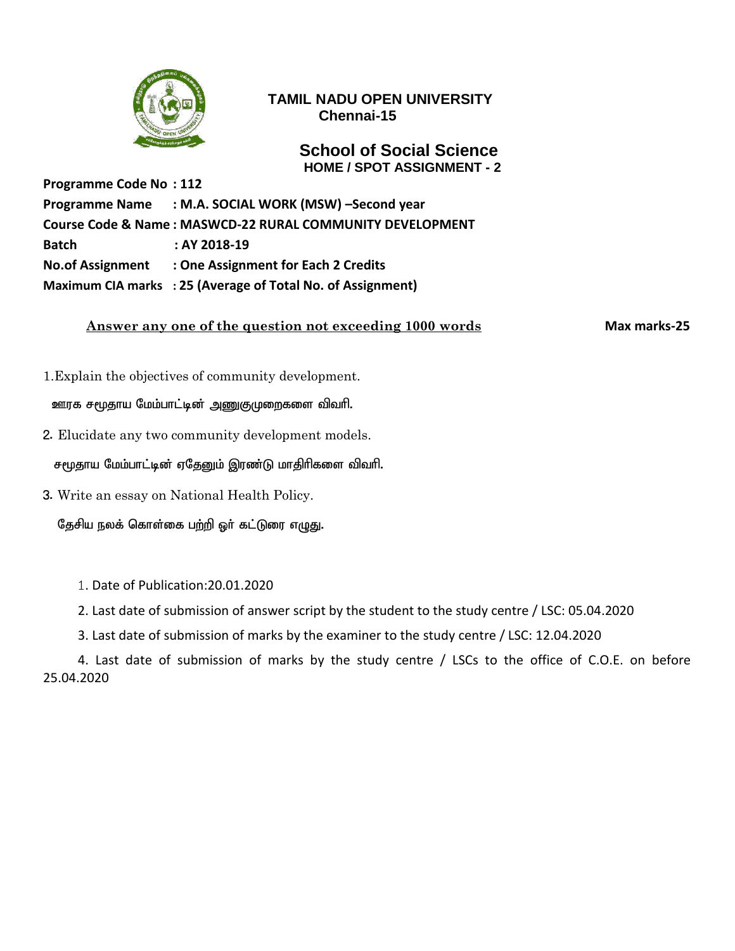

 **School of Social Science HOME / SPOT ASSIGNMENT - 2**

**Programme Code No : 112 Programme Name : M.A. SOCIAL WORK (MSW) –Second year Course Code & Name : MASWCD-22 RURAL COMMUNITY DEVELOPMENT Batch : AY 2018-19 No.of Assignment : One Assignment for Each 2 Credits Maximum CIA marks : 25 (Average of Total No. of Assignment)**

#### Answer any one of the question not exceeding 1000 words **Max marks-25**

1.Explain the objectives of community development.

ஊரக சமூதாய மேம்பாட்டின் அணுகுமுறைகளை விவரி.

2. Elucidate any two community development models.

சமூதாய மேம்பாட்டின் ஏதேனும் இரண்டு மாதிரிகளை விவரி.

3. Write an essay on National Health Policy.

தேசிய நலக் கொள்கை பற்றி ஓர் கட்டுரை எழுது.

- 1. Date of Publication:20.01.2020
- 2. Last date of submission of answer script by the student to the study centre / LSC: 05.04.2020
- 3. Last date of submission of marks by the examiner to the study centre / LSC: 12.04.2020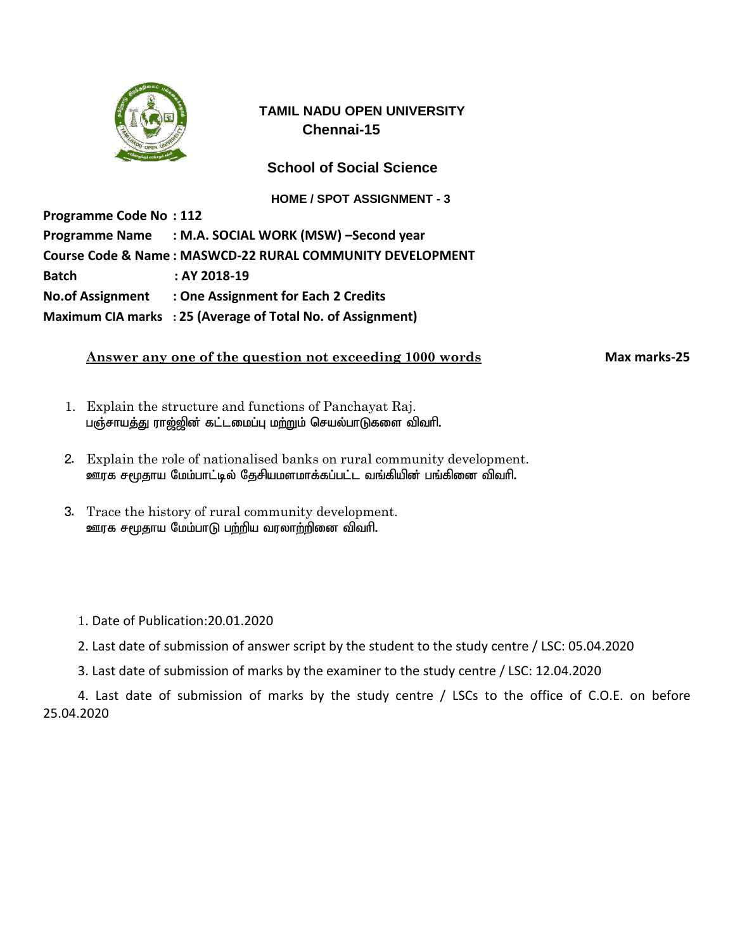

 **School of Social Science**

 **HOME / SPOT ASSIGNMENT - 3**

**Programme Code No : 112 Programme Name : M.A. SOCIAL WORK (MSW) –Second year Course Code & Name : MASWCD-22 RURAL COMMUNITY DEVELOPMENT Batch : AY 2018-19 No.of Assignment : One Assignment for Each 2 Credits Maximum CIA marks : 25 (Average of Total No. of Assignment)**

#### **Answer any one of the question not exceeding 1000 words Max marks-25**

- 1. Explain the structure and functions of Panchayat Raj. பஞ்சாயத்து ராஜ்ஜின் கட்டமைப்பு மற்றும் செயல்பாடுகளை விவரி.
- 2. Explain the role of nationalised banks on rural community development. ஊரக சமூதாய மேம்பாட்டில் தேசியமளமாக்கப்பட்ட வங்கியின் பங்கினை விவரி.
- 3. Trace the history of rural community development. ஊரக சமூதாய மேம்பாடு பற்றிய வரலாற்றினை விவரி.

1. Date of Publication:20.01.2020

- 2. Last date of submission of answer script by the student to the study centre / LSC: 05.04.2020
- 3. Last date of submission of marks by the examiner to the study centre / LSC: 12.04.2020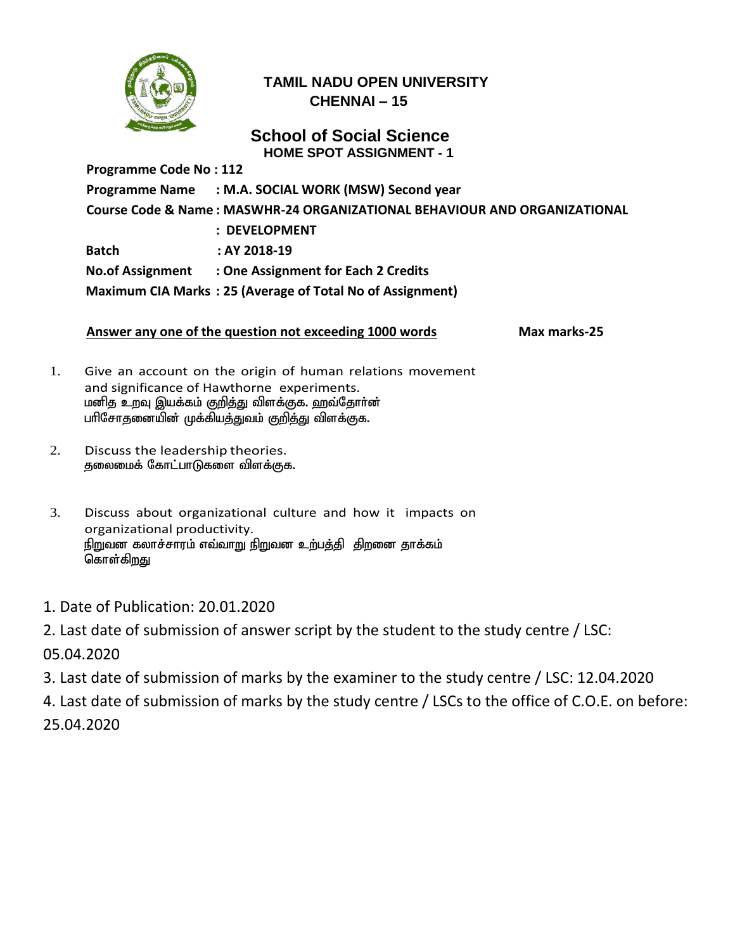

# **TAMIL NADU OPEN UNIVERSITY CHENNAI – 15**

### **School of Social Science HOME SPOT ASSIGNMENT - 1**

**Programme Code No : 112 Programme Name : M.A. SOCIAL WORK (MSW) Second year Course Code & Name : MASWHR-24 ORGANIZATIONAL BEHAVIOUR AND ORGANIZATIONAL : DEVELOPMENT Batch : AY 2018-19 No.of Assignment : One Assignment for Each 2 Credits Maximum CIA Marks : 25 (Average of Total No of Assignment)**

#### Answer any one of the question not exceeding 1000 words Max marks-25

- 1. Give an account on the origin of human relations movement and significance of Hawthorne experiments. மனித உறவு இயக்கம் குறித்து விளக்குக. ஹவ்தோா்ன் பரிசோதனையின் முக்கியத்துவம் குறித்து விளக்குக.
- 2. Discuss the leadership theories. தலைமைக் கோட்பாடுகளை விளக்குக.
- 3. Discuss about organizational culture and how it impacts on organizational productivity. நிறுவன கலாச்சாரம் எவ்வாறு நிறுவன உற்பத்தி திறனை தாக்கம் கொள்கிறது
- 1. Date of Publication: 20.01.2020
- 2. Last date of submission of answer script by the student to the study centre / LSC: 05.04.2020
- 3. Last date of submission of marks by the examiner to the study centre / LSC: 12.04.2020
- 4. Last date of submission of marks by the study centre / LSCs to the office of C.O.E. on before: 25.04.2020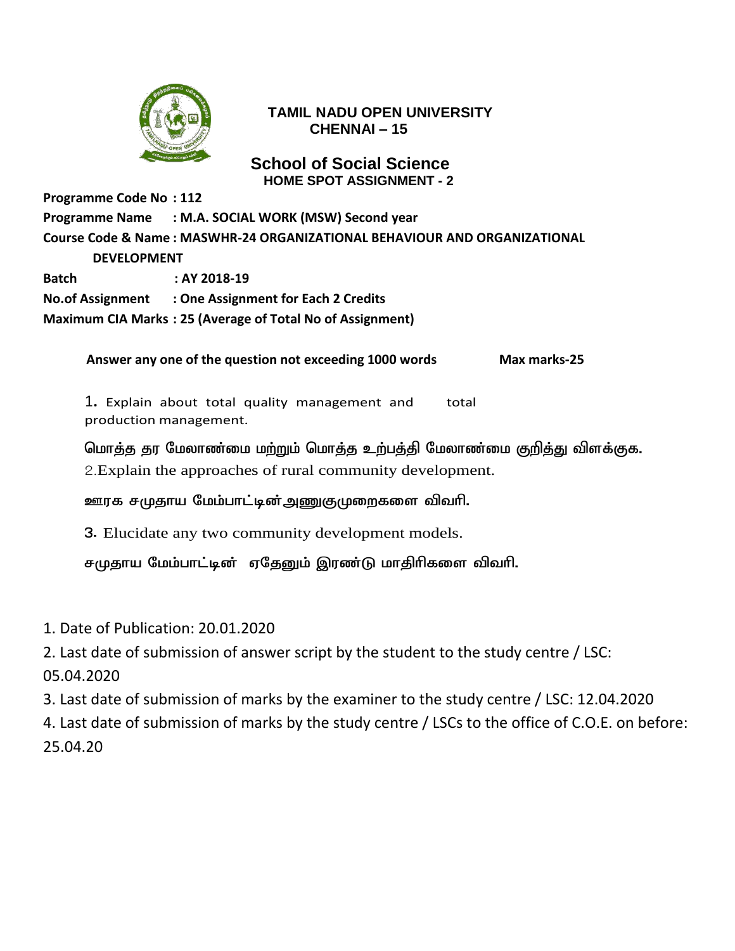

### **TAMIL NADU OPEN UNIVERSITY CHENNAI – 15**

### **School of Social Science HOME SPOT ASSIGNMENT - 2**

**Programme Code No : 112**

**Programme Name : M.A. SOCIAL WORK (MSW) Second year**

**Course Code & Name : MASWHR-24 ORGANIZATIONAL BEHAVIOUR AND ORGANIZATIONAL** 

 **DEVELOPMENT**

**Batch : AY 2018-19**

**No.of Assignment : One Assignment for Each 2 Credits**

**Maximum CIA Marks : 25 (Average of Total No of Assignment)**

#### Answer any one of the question not exceeding 1000 words Max marks-25

1**.** Explain about total quality management and total production management.

மொத்த தர மேலாண்மை மற்றும் மொத்த உற்பத்தி மேலாண்மை குறித்து விளக்குக.

2.Explain the approaches of rural community development.

ஊரக சமுதாய மேம்பாட்டின்அணுகுமுறைகளை விவரி.

3. Elucidate any two community development models.

சமுதாய மேம்பாட்டின் ஏதேனும் இரண்டு மாதிரிகளை விவரி.

1. Date of Publication: 20.01.2020

2. Last date of submission of answer script by the student to the study centre / LSC: 05.04.2020

3. Last date of submission of marks by the examiner to the study centre / LSC: 12.04.2020